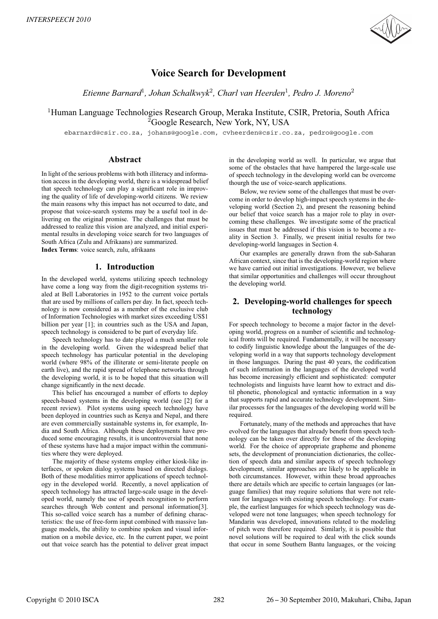

# **Voice Search for Development**

*Etienne Barnard*<sup>1</sup>*, Johan Schalkwyk*<sup>2</sup>*, Charl van Heerden*<sup>1</sup>*, Pedro J. Moreno*<sup>2</sup>

<sup>1</sup>Human Language Technologies Research Group, Meraka Institute, CSIR, Pretoria, South Africa <sup>2</sup>Google Research, New York, NY, USA

ebarnard@csir.co.za, johans@google.com, cvheerden@csir.co.za, pedro@google.com

# **Abstract**

In light of the serious problems with both illiteracy and information access in the developing world, there is a widespread belief that speech technology can play a significant role in improving the quality of life of developing-world citizens. We review the main reasons why this impact has not occurred to date, and propose that voice-search systems may be a useful tool in delivering on the original promise. The challenges that must be addressed to realize this vision are analyzed, and initial experimental results in developing voice search for two languages of South Africa (Zulu and Afrikaans) are summarized. **Index Terms**: voice search, zulu, afrikaans

**1. Introduction**

In the developed world, systems utilizing speech technology have come a long way from the digit-recognition systems trialed at Bell Laboratories in 1952 to the current voice portals that are used by millions of callers per day. In fact, speech technology is now considered as a member of the exclusive club of Information Technologies with market sizes exceeding US\$1 billion per year [1]; in countries such as the USA and Japan, speech technology is considered to be part of everyday life.

Speech technology has to date played a much smaller role in the developing world. Given the widespread belief that speech technology has particular potential in the developing world (where 98% of the illiterate or semi-literate people on earth live), and the rapid spread of telephone networks through the developing world, it is to be hoped that this situation will change significantly in the next decade.

This belief has encouraged a number of efforts to deploy speech-based systems in the developing world (see [2] for a recent review). Pilot systems using speech technology have been deployed in countries such as Kenya and Nepal, and there are even commercially sustainable systems in, for example, India and South Africa. Although these deployments have produced some encouraging results, it is uncontroversial that none of these systems have had a major impact within the communities where they were deployed.

The majority of these systems employ either kiosk-like interfaces, or spoken dialog systems based on directed dialogs. Both of these modalities mirror applications of speech technology in the developed world. Recently, a novel application of speech technology has attracted large-scale usage in the developed world, namely the use of speech recognition to perform searches through Web content and personal information[3]. This so-called voice search has a number of defining characteristics: the use of free-form input combined with massive language models, the ability to combine spoken and visual information on a mobile device, etc. In the current paper, we point out that voice search has the potential to deliver great impact

in the developing world as well. In particular, we argue that some of the obstacles that have hampered the large-scale use of speech technology in the developing world can be overcome thourgh the use of voice-search applications.

Below, we review some of the challenges that must be overcome in order to develop high-impact speech systems in the developing world (Section 2), and present the reasoning behind our belief that voice search has a major role to play in overcoming these challenges. We investigate some of the practical issues that must be addressed if this vision is to become a reality in Section 3. Finally, we present initial results for two developing-world languages in Section 4.

Our examples are generally drawn from the sub-Saharan African context, since that is the developing-world region where we have carried out initial investigations. However, we believe that similar opportunities and challenges will occur throughout the developing world.

# **2. Developing-world challenges for speech technology**

For speech technology to become a major factor in the developing world, progress on a number of scientific and technological fronts will be required. Fundamentally, it will be necessary to codify linguistic knowledge about the languages of the developing world in a way that supports technology development in those languages. During the past 40 years, the codification of such information in the languages of the developed world has become increasingly efficient and sophisticated: computer technologists and linguists have learnt how to extract and distil phonetic, phonological and syntactic information in a way that supports rapid and accurate technology development. Similar processes for the languages of the developing world will be required.

Fortunately, many of the methods and approaches that have evolved for the languages that already benefit from speech technology can be taken over directly for those of the developing world. For the choice of appropriate grapheme and phoneme sets, the development of pronunciation dictionaries, the collection of speech data and similar aspects of speech technology development, similar approaches are likely to be applicable in both circumstances. However, within these broad approaches there are details which are specific to certain languages (or language families) that may require solutions that were not relevant for languages with existing speech technology. For example, the earliest languages for which speech technology was developed were not tone languages; when speech technology for Mandarin was developed, innovations related to the modeling of pitch were therefore required. Similarly, it is possible that novel solutions will be required to deal with the click sounds that occur in some Southern Bantu languages, or the voicing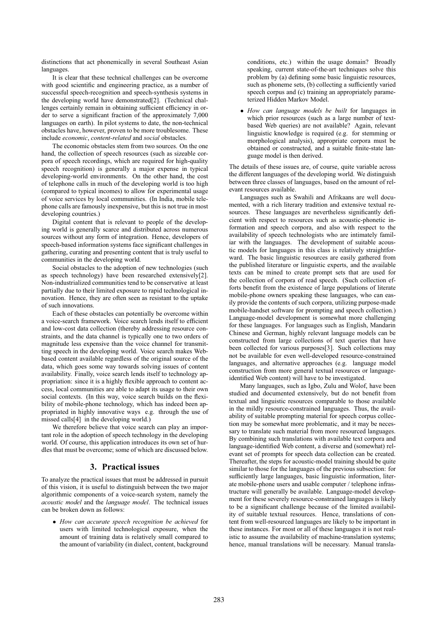distinctions that act phonemically in several Southeast Asian languages.

It is clear that these technical challenges can be overcome with good scientific and engineering practice, as a number of successful speech-recognition and speech-synthesis systems in the developing world have demonstrated[2]. (Technical challenges certainly remain in obtaining sufficient efficiency in order to serve a significant fraction of the approximately 7,000 languages on earth). In pilot systems to date, the non-technical obstacles have, however, proven to be more troublesome. These include *economic*, *content-related* and *social* obstacles.

The economic obstacles stem from two sources. On the one hand, the collection of speech resources (such as sizeable corpora of speech recordings, which are required for high-quality speech recognition) is generally a major expense in typical developing-world environments. On the other hand, the cost of telephone calls in much of the developing world is too high (compared to typical incomes) to allow for experimental usage of voice services by local communities. (In India, mobile telephone calls are famously inexpensive, but this is not true in most developing countries.)

Digital content that is relevant to people of the developing world is generally scarce and distributed across numerous sources without any form of integration. Hence, developers of speech-based information systems face significant challenges in gathering, curating and presenting content that is truly useful to communities in the developing world.

Social obstacles to the adoption of new technologies (such as speech technology) have been researched extensively[2]. Non-industrialized communities tend to be conservative at least partially due to their limited exposure to rapid technological innovation. Hence, they are often seen as resistant to the uptake of such innovations.

Each of these obstacles can potentially be overcome within a voice-search framework. Voice search lends itself to efficient and low-cost data collection (thereby addressing resource constraints, and the data channel is typically one to two orders of magnitude less expensive than the voice channel for transmitting speech in the developing world. Voice search makes Webbased content available regardless of the original source of the data, which goes some way towards solving issues of content availability. Finally, voice search lends itself to technology appropriation: since it is a highly flexible approach to content access, local communities are able to adapt its usage to their own social contexts. (In this way, voice search builds on the flexibility of mobile-phone technology, which has indeed been appropriated in highly innovative ways e.g. through the use of missed calls[4] in the developing world.)

We therefore believe that voice search can play an important role in the adoption of speech technology in the developing world. Of course, this application introduces its own set of hurdles that must be overcome; some of which are discussed below.

#### **3. Practical issues**

To analyze the practical issues that must be addressed in pursuit of this vision, it is useful to distinguish between the two major algorithmic components of a voice-search system, namely the *acoustic model* and the *language model*. The technical issues can be broken down as follows:

• *How can accurate speech recognition be achieved* for users with limited technological exposure, when the amount of training data is relatively small compared to the amount of variability (in dialect, content, background conditions, etc.) within the usage domain? Broadly speaking, current state-of-the-art techniques solve this problem by (a) defining some basic linguistic resources, such as phoneme sets, (b) collecting a sufficiently varied speech corpus and (c) training an appropriately parameterized Hidden Markov Model.

• *How can language models be built* for languages in which prior resources (such as a large number of textbased Web queries) are not available? Again, relevant linguistic knowledge is required (e.g. for stemming or morphological analysis), appropriate corpora must be obtained or constructed, and a suitable finite-state language model is then derived.

The details of these issues are, of course, quite variable across the different languages of the developing world. We distinguish between three classes of languages, based on the amount of relevant resources available.

Languages such as Swahili and Afrikaans are well documented, with a rich literary tradition and extensive textual resources. These languages are nevertheless significantly deficient with respect to resources such as acoustic-phonetic information and speech corpora, and also with respect to the availability of speech technologists who are intimately familiar with the languages. The development of suitable acoustic models for languages in this class is relatively straightforward. The basic linguistic resources are easily gathered from the published literature or linguistic experts, and the available texts can be mined to create prompt sets that are used for the collection of corpora of read speech. (Such collection efforts benefit from the existence of large populations of literate mobile-phone owners speaking these languages, who can easily provide the contents of such corpora, utilizing purpose-made mobile-handset software for prompting and speech collection.) Language-model development is somewhat more challenging for these languages. For languages such as English, Mandarin Chinese and German, highly relevant language models can be constructed from large collections of text queries that have been collected for various purposes[3]. Such collections may not be available for even well-developed resource-constrained languages, and alternative approaches (e.g. language model construction from more general textual resources or languageidentified Web content) will have to be investigated.

Many languages, such as Igbo, Zulu and Wolof, have been studied and documented extensively, but do not benefit from textual and linguistic resources comparable to those available in the mildly resource-constrained languages. Thus, the availability of suitable prompting material for speech corpus collection may be somewhat more problematic, and it may be necessary to translate such material from more resourced languages. By combining such translations with available text corpora and language-identified Web content, a diverse and (somewhat) relevant set of prompts for speech data collection can be created. Thereafter, the steps for acoustic-model training should be quite similar to those for the languages of the previous subsection: for sufficiently large languages, basic linguistic information, literate mobile-phone users and usable computer / telephone infrastructure will generally be available. Language-model development for these severely resource-constrained languages is likely to be a significant challenge because of the limited availability of suitable textual resources. Hence, translations of content from well-resourced languages are likely to be important in these instances. For most or all of these languages it is not realistic to assume the availability of machine-translation systems; hence, manual translations will be necessary. Manual transla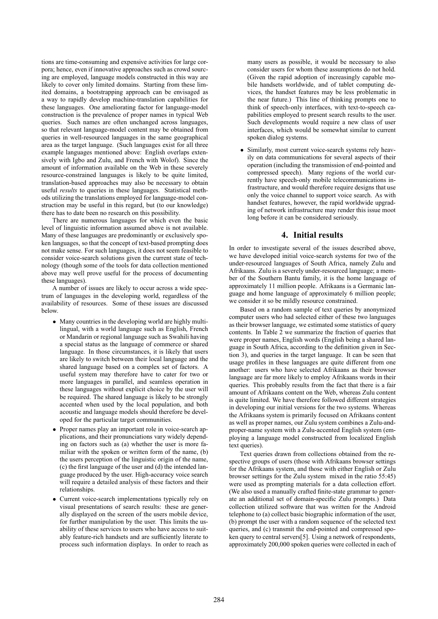tions are time-consuming and expensive activities for large corpora; hence, even if innovative approaches such as crowd sourcing are employed, language models constructed in this way are likely to cover only limited domains. Starting from these limited domains, a bootstrapping approach can be envisaged as a way to rapidly develop machine-translation capabilities for these languages. One ameliorating factor for language-model construction is the prevalence of proper names in typical Web queries. Such names are often unchanged across languages, so that relevant language-model content may be obtained from queries in well-resourced languages in the same geographical area as the target language. (Such languages exist for all three example languages mentioned above: English overlaps extensively with Igbo and Zulu, and French with Wolof). Since the amount of information available on the Web in these severely resource-constrained languages is likely to be quite limited, translation-based approaches may also be necessary to obtain useful *results* to queries in these languages. Statistical methods utilizing the translations employed for language-model construction may be useful in this regard, but (to our knowledge) there has to date been no research on this possibility.

There are numerous languages for which even the basic level of linguistic information assumed above is not available. Many of these languages are predominantly or exclusively spoken languages, so that the concept of text-based prompting does not make sense. For such languages, it does not seem feasible to consider voice-search solutions given the current state of technology (though some of the tools for data collection mentioned above may well prove useful for the process of documenting these languages).

A number of issues are likely to occur across a wide spectrum of languages in the developing world, regardless of the availability of resources. Some of these issues are discussed below.

- Many countries in the developing world are highly multilingual, with a world language such as English, French or Mandarin or regional language such as Swahili having a special status as the language of commerce or shared language. In those circumstances, it is likely that users are likely to switch between their local language and the shared language based on a complex set of factors. A useful system may therefore have to cater for two or more languages in parallel, and seamless operation in these languages without explicit choice by the user will be required. The shared language is likely to be strongly accented when used by the local population, and both acoustic and language models should therefore be developed for the particular target communities.
- Proper names play an important role in voice-search applications, and their pronunciations vary widely depending on factors such as (a) whether the user is more familiar with the spoken or written form of the name, (b) the users perception of the linguistic origin of the name, (c) the first language of the user and (d) the intended language produced by the user. High-accuracy voice search will require a detailed analysis of these factors and their relationships.
- Current voice-search implementations typically rely on visual presentations of search results: these are generally displayed on the screen of the users mobile device, for further manipulation by the user. This limits the usability of these services to users who have access to suitably feature-rich handsets and are sufficiently literate to process such information displays. In order to reach as

many users as possible, it would be necessary to also consider users for whom these assumptions do not hold. (Given the rapid adoption of increasingly capable mobile handsets worldwide, and of tablet computing devices, the handset features may be less problematic in the near future.) This line of thinking prompts one to think of speech-only interfaces, with text-to-speech capabilities employed to present search results to the user. Such developments would require a new class of user interfaces, which would be somewhat similar to current spoken dialog systems.

• Similarly, most current voice-search systems rely heavily on data communications for several aspects of their operation (including the transmission of end-pointed and compressed speech). Many regions of the world currently have speech-only mobile telecommunications infrastructure, and would therefore require designs that use only the voice channel to support voice search. As with handset features, however, the rapid worldwide upgrading of network infrastructure may render this issue moot long before it can be considered seriously.

#### **4. Initial results**

In order to investigate several of the issues described above, we have developed initial voice-search systems for two of the under-resourced languages of South Africa, namely Zulu and Afrikaans. Zulu is a severely under-resourced language; a member of the Southern Bantu family, it is the home language of approximately 11 million people. Afrikaans is a Germanic language and home language of approximately 6 million people; we consider it so be mildly resource constrained.

Based on a random sample of text queries by anonymized computer users who had selected either of these two languages as their browser language, we estimated some statistics of query contents. In Table 2 we summarize the fraction of queries that were proper names, English words (English being a shared language in South Africa, according to the definition given in Section 3), and queries in the target language. It can be seen that usage profiles in these languages are quite different from one another: users who have selected Afrikaans as their browser language are far more likely to employ Afrikaans words in their queries. This probably results from the fact that there is a fair amount of Afrikaans content on the Web, whereas Zulu content is quite limited. We have therefore followed different strategies in developing our initial versions for the two systems. Whereas the Afrikaans system is primarily focused on Afrikaans content as well as proper names, our Zulu system combines a Zulu-andproper-name system with a Zulu-accented English system (employing a language model constructed from localized English text queries).

Text queries drawn from collections obtained from the respective groups of users (those with Afrikaans browser settings for the Afrikaans system, and those with either English or Zulu browser settings for the Zulu system mixed in the ratio 55:45) were used as prompting materials for a data collection effort. (We also used a manually crafted finite-state grammar to generate an additional set of domain-specific Zulu prompts.) Data collection utilized software that was written for the Android telephone to (a) collect basic biographic information of the user, (b) prompt the user with a random sequence of the selected text queries, and (c) transmit the end-pointed and compressed spoken query to central servers[5]. Using a network of respondents, approximately 200,000 spoken queries were collected in each of